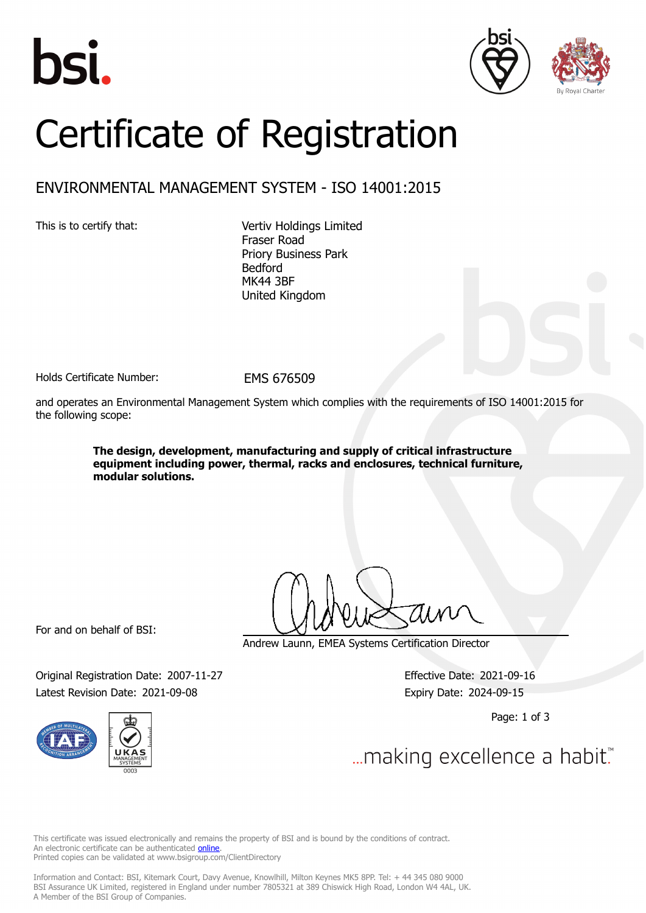





## Certificate of Registration

## ENVIRONMENTAL MANAGEMENT SYSTEM - ISO 14001:2015

This is to certify that: Vertiv Holdings Limited Fraser Road Priory Business Park Bedford MK44 3BF United Kingdom

Holds Certificate Number: FMS 676509

and operates an Environmental Management System which complies with the requirements of ISO 14001:2015 for the following scope:

> **The design, development, manufacturing and supply of critical infrastructure equipment including power, thermal, racks and enclosures, technical furniture, modular solutions.**

For and on behalf of BSI:

Andrew Launn, EMEA Systems Certification Director

Original Registration Date: 2007-11-27 Effective Date: 2021-09-16 Latest Revision Date: 2021-09-08 Expiry Date: 2024-09-15



Page: 1 of 3

... making excellence a habit.

This certificate was issued electronically and remains the property of BSI and is bound by the conditions of contract. An electronic certificate can be authenticated **[online](https://pgplus.bsigroup.com/CertificateValidation/CertificateValidator.aspx?CertificateNumber=EMS+676509&ReIssueDate=08%2f09%2f2021&Template=uk)**. Printed copies can be validated at www.bsigroup.com/ClientDirectory

Information and Contact: BSI, Kitemark Court, Davy Avenue, Knowlhill, Milton Keynes MK5 8PP. Tel: + 44 345 080 9000 BSI Assurance UK Limited, registered in England under number 7805321 at 389 Chiswick High Road, London W4 4AL, UK. A Member of the BSI Group of Companies.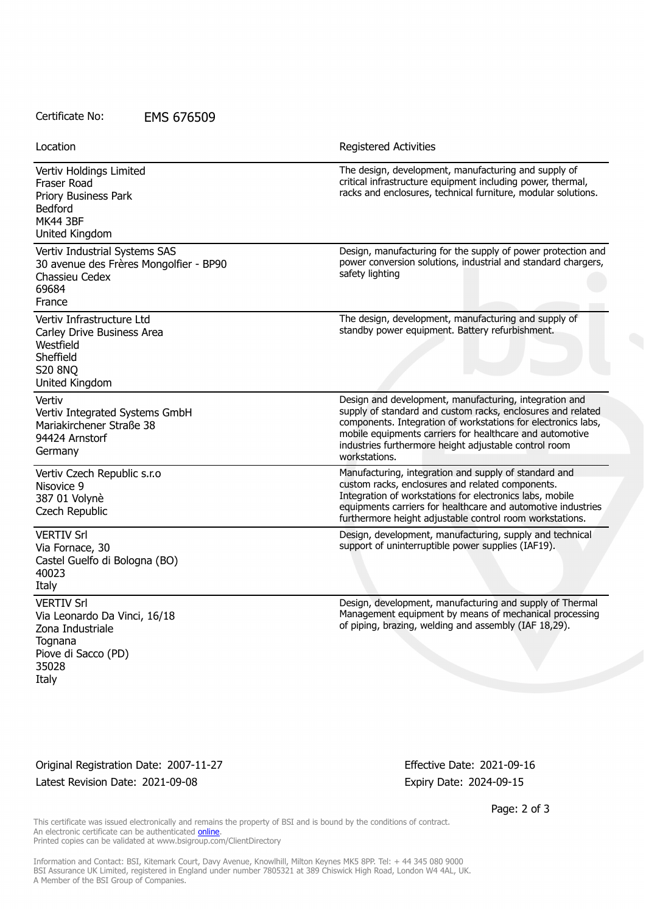## Certificate No: EMS 676509

Vertiv Holdings Limited Fraser Road Priory Business Park Bedford MK44 3BF United Kingdom The design, development, manufacturing and supply of critical infrastructure equipment including power, thermal, racks and enclosures, technical furniture, modular solutions. Vertiv Industrial Systems SAS 30 avenue des Frères Mongolfier - BP90 Chassieu Cedex 69684 France Design, manufacturing for the supply of power protection and power conversion solutions, industrial and standard chargers, safety lighting Vertiv Infrastructure Ltd Carley Drive Business Area Westfield Sheffield S20 8NQ United Kingdom The design, development, manufacturing and supply of standby power equipment. Battery refurbishment. Vertiv Vertiv Integrated Systems GmbH Mariakirchener Straße 38 94424 Arnstorf Germany Design and development, manufacturing, integration and supply of standard and custom racks, enclosures and related components. Integration of workstations for electronics labs, mobile equipments carriers for healthcare and automotive industries furthermore height adjustable control room workstations. Vertiv Czech Republic s.r.o Nisovice 9 387 01 Volynè Czech Republic Manufacturing, integration and supply of standard and custom racks, enclosures and related components. Integration of workstations for electronics labs, mobile equipments carriers for healthcare and automotive industries furthermore height adjustable control room workstations. VERTIV Srl Via Fornace, 30 Castel Guelfo di Bologna (BO) 40023 Italy Design, development, manufacturing, supply and technical support of uninterruptible power supplies (IAF19). VERTIV Srl Via Leonardo Da Vinci, 16/18 Zona Industriale **Tognana** Piove di Sacco (PD) 35028 Italy Design, development, manufacturing and supply of Thermal Management equipment by means of mechanical processing of piping, brazing, welding and assembly (IAF 18,29). Location **Exercise 2018 Location Registered Activities** 

Original Registration Date: 2007-11-27 Effective Date: 2021-09-16 Latest Revision Date: 2021-09-08 expiring the strategies of the Expiry Date: 2024-09-15

Page: 2 of 3

This certificate was issued electronically and remains the property of BSI and is bound by the conditions of contract. An electronic certificate can be authenticated [online](https://pgplus.bsigroup.com/CertificateValidation/CertificateValidator.aspx?CertificateNumber=EMS+676509&ReIssueDate=08%2f09%2f2021&Template=uk). Printed copies can be validated at www.bsigroup.com/ClientDirectory

Information and Contact: BSI, Kitemark Court, Davy Avenue, Knowlhill, Milton Keynes MK5 8PP. Tel: + 44 345 080 9000 BSI Assurance UK Limited, registered in England under number 7805321 at 389 Chiswick High Road, London W4 4AL, UK. A Member of the BSI Group of Companies.